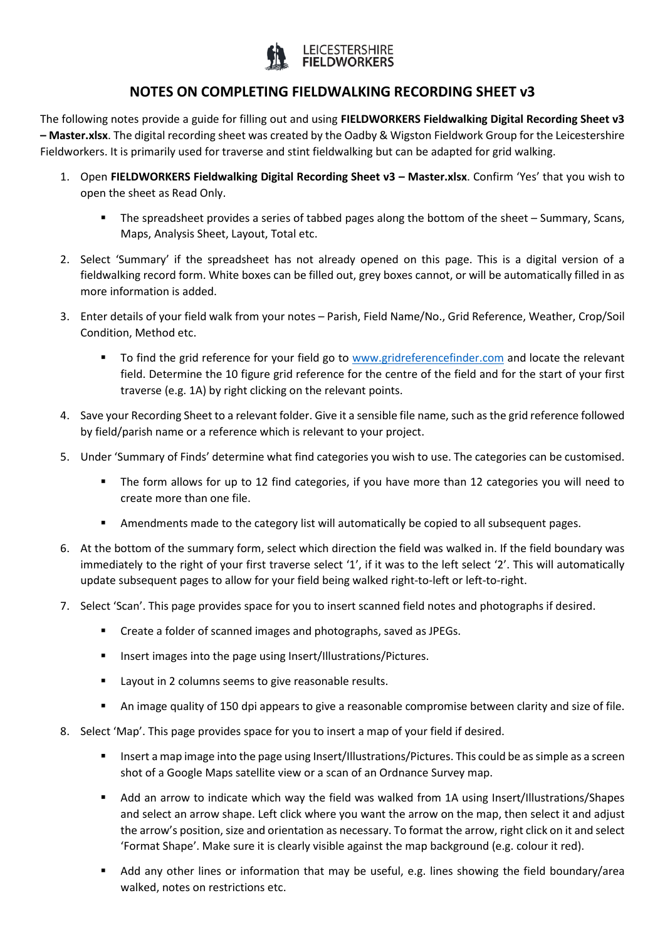

## **NOTES ON COMPLETING FIELDWALKING RECORDING SHEET v3**

The following notes provide a guide for filling out and using **FIELDWORKERS Fieldwalking Digital Recording Sheet v3 – Master.xlsx**. The digital recording sheet was created by the Oadby & Wigston Fieldwork Group for the Leicestershire Fieldworkers. It is primarily used for traverse and stint fieldwalking but can be adapted for grid walking.

- 1. Open **FIELDWORKERS Fieldwalking Digital Recording Sheet v3 – Master.xlsx**. Confirm 'Yes' that you wish to open the sheet as Read Only.
	- The spreadsheet provides a series of tabbed pages along the bottom of the sheet Summary, Scans, Maps, Analysis Sheet, Layout, Total etc.
- 2. Select 'Summary' if the spreadsheet has not already opened on this page. This is a digital version of a fieldwalking record form. White boxes can be filled out, grey boxes cannot, or will be automatically filled in as more information is added.
- 3. Enter details of your field walk from your notes Parish, Field Name/No., Grid Reference, Weather, Crop/Soil Condition, Method etc.
	- To find the grid reference for your field go to [www.gridreferencefinder.com](http://www.gridreferencefinder.com/) and locate the relevant field. Determine the 10 figure grid reference for the centre of the field and for the start of your first traverse (e.g. 1A) by right clicking on the relevant points.
- 4. Save your Recording Sheet to a relevant folder. Give it a sensible file name, such as the grid reference followed by field/parish name or a reference which is relevant to your project.
- 5. Under 'Summary of Finds' determine what find categories you wish to use. The categories can be customised.
	- The form allows for up to 12 find categories, if you have more than 12 categories you will need to create more than one file.
	- Amendments made to the category list will automatically be copied to all subsequent pages.
- 6. At the bottom of the summary form, select which direction the field was walked in. If the field boundary was immediately to the right of your first traverse select '1', if it was to the left select '2'. This will automatically update subsequent pages to allow for your field being walked right-to-left or left-to-right.
- 7. Select 'Scan'. This page provides space for you to insert scanned field notes and photographs if desired.
	- Create a folder of scanned images and photographs, saved as JPEGs.
	- **Insert images into the page using Insert/Illustrations/Pictures.**
	- **EXECT** Layout in 2 columns seems to give reasonable results.
	- An image quality of 150 dpi appears to give a reasonable compromise between clarity and size of file.
- 8. Select 'Map'. This page provides space for you to insert a map of your field if desired.
	- Insert a map image into the page using Insert/Illustrations/Pictures. This could be as simple as a screen shot of a Google Maps satellite view or a scan of an Ordnance Survey map.
	- Add an arrow to indicate which way the field was walked from 1A using Insert/Illustrations/Shapes and select an arrow shape. Left click where you want the arrow on the map, then select it and adjust the arrow's position, size and orientation as necessary. To format the arrow, right click on it and select 'Format Shape'. Make sure it is clearly visible against the map background (e.g. colour it red).
	- Add any other lines or information that may be useful, e.g. lines showing the field boundary/area walked, notes on restrictions etc.